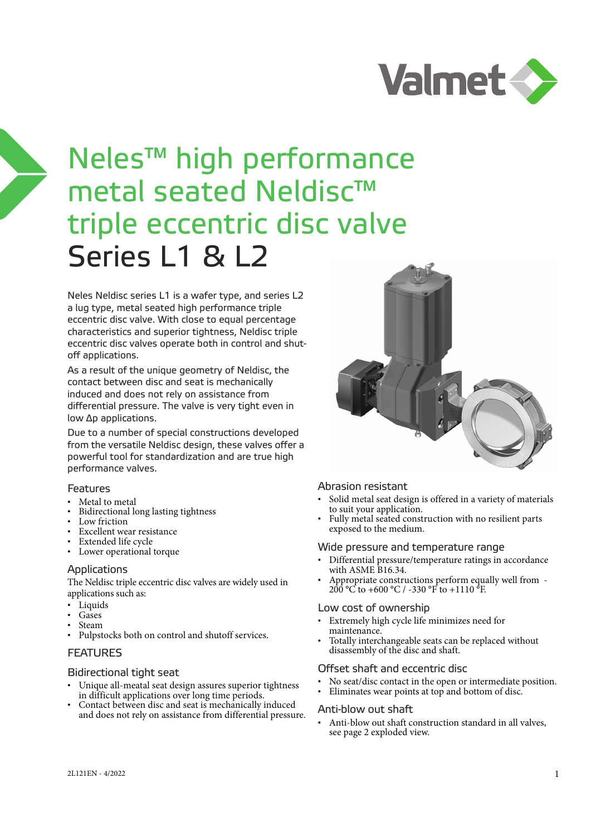

# Neles™ high performance metal seated Neldisc™ triple eccentric disc valve Series L1 & L2

Neles Neldisc series L1 is a wafer type, and series L2 a lug type, metal seated high performance triple eccentric disc valve. With close to equal percentage characteristics and superior tightness, Neldisc triple eccentric disc valves operate both in control and shutoff applications.

As a result of the unique geometry of Neldisc, the contact between disc and seat is mechanically induced and does not rely on assistance from differential pressure. The valve is very tight even in low Δp applications.

Due to a number of special constructions developed from the versatile Neldisc design, these valves offer a powerful tool for standardization and are true high performance valves.

#### Features

- Metal to metal
- Bidirectional long lasting tightness
- Low friction
- Excellent wear resistance
- Extended life cycle
- Lower operational torque

#### Applications

The Neldisc triple eccentric disc valves are widely used in applications such as:

- Liquids
- Gases
- Steam
- Pulpstocks both on control and shutoff services.

#### FEATURES

#### Bidirectional tight seat

- Unique all-meatal seat design assures superior tightness in difficult applications over long time periods.
- Contact between disc and seat is mechanically induced and does not rely on assistance from differential pressure.



#### Abrasion resistant

- Solid metal seat design is offered in a variety of materials to suit your application.
- Fully metal seated construction with no resilient parts exposed to the medium.

#### Wide pressure and temperature range

- Differential pressure/temperature ratings in accordance with ASME B16.34.
- Appropriate constructions perform equally well from  $200^{\circ}$  C to +600 °C / -330 °F to +1110  $^{5}$ F.

#### Low cost of ownership

- Extremely high cycle life minimizes need for maintenance.
- Totally interchangeable seats can be replaced without disassembly of the disc and shaft.

#### Offset shaft and eccentric disc

- No seat/disc contact in the open or intermediate position.
- Eliminates wear points at top and bottom of disc.

#### Anti-blow out shaft

• Anti-blow out shaft construction standard in all valves, see page 2 exploded view.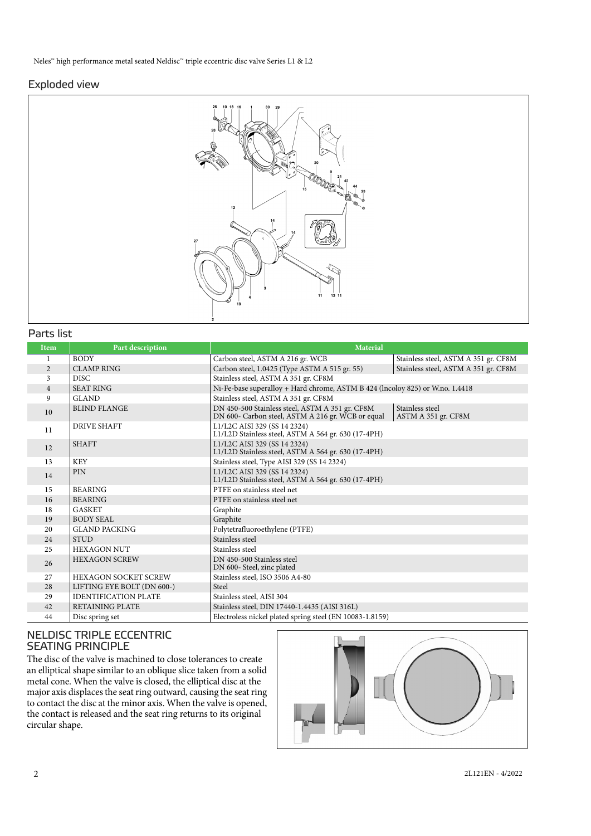#### Exploded view



#### Parts list

| <b>Item</b>    | Part description            | <b>Material</b>                                                                                      |                                        |
|----------------|-----------------------------|------------------------------------------------------------------------------------------------------|----------------------------------------|
| 1              | <b>BODY</b>                 | Carbon steel, ASTM A 216 gr. WCB                                                                     | Stainless steel, ASTM A 351 gr. CF8M   |
| $\overline{2}$ | <b>CLAMP RING</b>           | Carbon steel, 1.0425 (Type ASTM A 515 gr. 55)                                                        | Stainless steel, ASTM A 351 gr. CF8M   |
| 3              | DISC.                       | Stainless steel, ASTM A 351 gr. CF8M                                                                 |                                        |
| $\overline{4}$ | <b>SEAT RING</b>            | Ni-Fe-base superalloy + Hard chrome, ASTM B 424 (lncoloy 825) or W.no. 1.4418                        |                                        |
| 9              | <b>GLAND</b>                | Stainless steel, ASTM A 351 gr. CF8M                                                                 |                                        |
| 10             | <b>BLIND FLANGE</b>         | DN 450-500 Stainless steel, ASTM A 351 gr. CF8M<br>DN 600- Carbon steel, ASTM A 216 gr. WCB or equal | Stainless steel<br>ASTM A 351 gr. CF8M |
| 11             | <b>DRIVE SHAFT</b>          | L1/L2C AISI 329 (SS 14 2324)<br>L1/L2D Stainless steel, ASTM A 564 gr. 630 (17-4PH)                  |                                        |
| 12             | <b>SHAFT</b>                | L1/L2C AISI 329 (SS 14 2324)<br>L1/L2D Stainless steel, ASTM A 564 gr. 630 (17-4PH)                  |                                        |
| 13             | <b>KEY</b>                  | Stainless steel, Type AISI 329 (SS 14 2324)                                                          |                                        |
| 14             | <b>PIN</b>                  | L1/L2C AISI 329 (SS 14 2324)<br>L1/L2D Stainless steel, ASTM A 564 gr. 630 (17-4PH)                  |                                        |
| 15             | <b>BEARING</b>              | PTFE on stainless steel net                                                                          |                                        |
| 16             | <b>BEARING</b>              | PTFE on stainless steel net                                                                          |                                        |
| 18             | <b>GASKET</b>               | Graphite                                                                                             |                                        |
| 19             | <b>BODY SEAL</b>            | Graphite                                                                                             |                                        |
| 20             | <b>GLAND PACKING</b>        | Polytetrafluoroethylene (PTFE)                                                                       |                                        |
| 24             | <b>STUD</b>                 | Stainless steel                                                                                      |                                        |
| 25             | <b>HEXAGON NUT</b>          | Stainless steel                                                                                      |                                        |
| 26             | <b>HEXAGON SCREW</b>        | DN 450-500 Stainless steel<br>DN 600- Steel, zinc plated                                             |                                        |
| 27             | <b>HEXAGON SOCKET SCREW</b> | Stainless steel, ISO 3506 A4-80                                                                      |                                        |
| 28             | LIFTING EYE BOLT (DN 600-)  | Steel                                                                                                |                                        |
| 29             | <b>IDENTIFICATION PLATE</b> | Stainless steel, AISI 304                                                                            |                                        |
| 42             | <b>RETAINING PLATE</b>      | Stainless steel, DIN 17440-1.4435 (AISI 316L)                                                        |                                        |
| 44             | Disc spring set             | Electroless nickel plated spring steel (EN 10083-1.8159)                                             |                                        |

## NELDISC TRIPLE ECCENTRIC SEATING PRINCIPLE

The disc of the valve is machined to close tolerances to create an elliptical shape similar to an oblique slice taken from a solid metal cone. When the valve is closed, the elliptical disc at the major axis displaces the seat ring outward, causing the seat ring to contact the disc at the minor axis. When the valve is opened, the contact is released and the seat ring returns to its original circular shape.

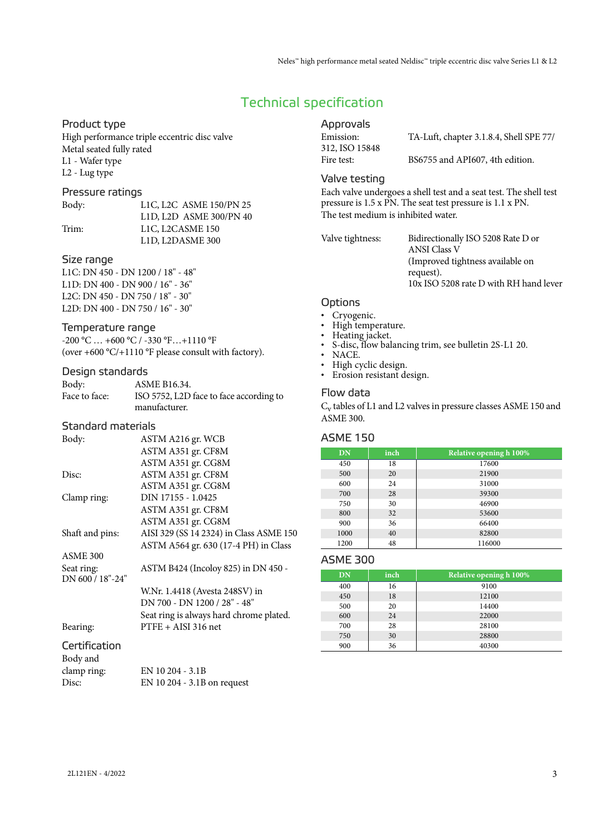# Technical specification

#### Product type

High performance triple eccentric disc valve Metal seated fully rated L1 - Wafer type L2 - Lug type

#### Pressure ratings

Body: L1C, L2C ASME 150/PN 25 L1D, L2D ASME 300/PN 40 Trim: L1C, L2CASME 150 L1D, L2DASME 300

#### Size range

L1C: DN 450 - DN 1200 / 18" - 48" L1D: DN 400 - DN 900 / 16" - 36" L2C: DN 450 - DN 750 / 18" - 30" L2D: DN 400 - DN 750 / 16" - 30"

#### Temperature range

-200 °C … +600 °C / -330 °F…+1110 °F (over +600 °C/+1110 °F please consult with factory).

#### Design standards

| Body:         | ASME B16.34.                            |
|---------------|-----------------------------------------|
| Face to face: | ISO 5752, L2D face to face according to |
|               | manufacturer.                           |

#### Standard materials

| Body:            | ASTM A216 gr. WCB                       |
|------------------|-----------------------------------------|
|                  | ASTM A351 gr. CF8M                      |
|                  | ASTM A351 gr. CG8M                      |
| Disc:            | ASTM A351 gr. CF8M                      |
|                  | ASTM A351 gr. CG8M                      |
| Clamp ring:      | DIN 17155 - 1.0425                      |
|                  | ASTM A351 gr. CF8M                      |
|                  | ASTM A351 gr. CG8M                      |
| Shaft and pins:  | AISI 329 (SS 14 2324) in Class ASME 150 |
|                  | ASTM A564 gr. 630 (17-4 PH) in Class    |
| ASME 300         |                                         |
| Seat ring:       | ASTM B424 (Incoloy 825) in DN 450 -     |
| DN 600 / 18"-24" |                                         |
|                  | W.Nr. 1.4418 (Avesta 248SV) in          |
|                  | DN 700 - DN 1200 / 28" - 48"            |
|                  | Seat ring is always hard chrome plated. |
| Bearing:         | $PTFE + AISI 316$ net                   |
| Certification    |                                         |
| Body and         |                                         |
|                  |                                         |

| clamp ring: | EN 10 204 - 3.1B              |
|-------------|-------------------------------|
| Disc:       | EN 10 204 - $3.1B$ on request |

## Approvals

| Emission:      | TA-Luft, chapter 3.1.8.4, Shell SPE 77/ |
|----------------|-----------------------------------------|
| 312, ISO 15848 |                                         |
| Fire test:     | BS6755 and API607, 4th edition.         |

#### Valve testing

Each valve undergoes a shell test and a seat test. The shell test pressure is 1.5 x PN. The seat test pressure is 1.1 x PN. The test medium is inhibited water.

Valve tightness: Bidirectionally ISO 5208 Rate D or ANSI Class V (Improved tightness available on request). 10x ISO 5208 rate D with RH hand lever

#### **Options**

- Cryogenic.
- High temperature.
- Heating jacket.<br>• S disc flow bal
- S-disc, flow balancing trim, see bulletin 2S-L1 20.
- NACE.
- High cyclic design.
- Erosion resistant design.

#### Flow data

C<sub>v</sub> tables of L1 and L2 valves in pressure classes ASME 150 and ASME 300.

#### ASME 150

| DN   | inch | Relative opening h 100% |
|------|------|-------------------------|
| 450  | 18   | 17600                   |
| 500  | 20   | 21900                   |
| 600  | 24   | 31000                   |
| 700  | 28   | 39300                   |
| 750  | 30   | 46900                   |
| 800  | 32   | 53600                   |
| 900  | 36   | 66400                   |
| 1000 | 40   | 82800                   |
| 1200 | 48   | 116000                  |

#### ASME 300

| <b>DN</b> | inch | Relative opening h 100% |
|-----------|------|-------------------------|
| 400       | 16   | 9100                    |
| 450       | 18   | 12100                   |
| 500       | 20   | 14400                   |
| 600       | 24   | 22000                   |
| 700       | 28   | 28100                   |
| 750       | 30   | 28800                   |
| 900       | 36   | 40300                   |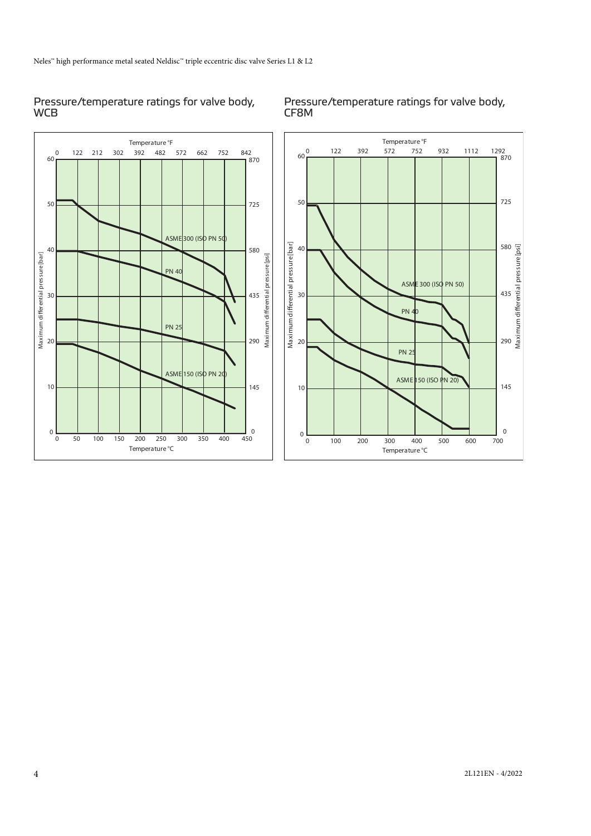### Pressure/temperature ratings for valve body, **WCB**

Pressure/temperature ratings for valve body, CF8M

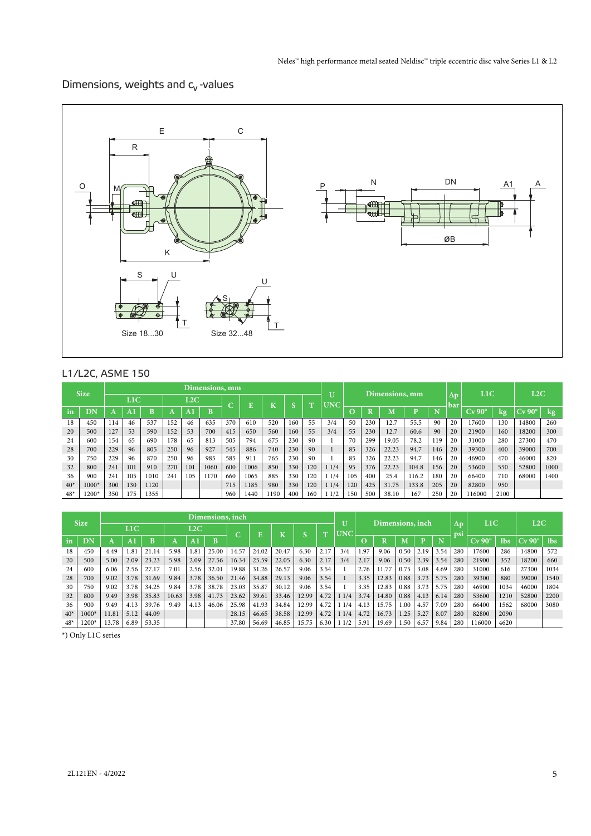# Dimensions, weights and  $c_v$  -values



## L1/L2C, ASME 150

|       | <b>Size</b> |     | Dimensions, mm   |      |     |     |      |                  |      |     |     |              |                 | Dimensions, mm |        |       |       |     |                   | L1C                |      | L2C                |      |
|-------|-------------|-----|------------------|------|-----|-----|------|------------------|------|-----|-----|--------------|-----------------|----------------|--------|-------|-------|-----|-------------------|--------------------|------|--------------------|------|
|       |             |     | L <sub>1</sub> C |      |     | L2C |      | $\sqrt{2}$<br>Ę. |      | TZ. |     | $\mathbf{H}$ | U<br><b>UNC</b> |                |        |       |       |     | $\Delta p$<br>bar |                    |      |                    |      |
| in    | DN          |     | 7A TI            |      | Α   |     | B    |                  |      | N   |     |              |                 |                | D<br>n | M     |       |     |                   | $Cv$ 90 $^{\circ}$ | kø   | $Cv$ 90 $^{\circ}$ | kg   |
| 18    | 450         | 114 | 46               | 537  | 152 | 46  | 635  | 370              | 610  | 520 | 160 | 55           | 3/4             | 50             | 230    | 12.7  | 55.5  | 90  | 20                | 17600              | 130  | 14800              | 260  |
| 20    | 500         | 127 | 53               | 590  | 152 | 53  | 700  | 415              | 650  | 560 | 160 | 55           | 3/4             | 55             | 230    | 12.7  | 60.6  | 90  | 20                | 21900              | 160  | 18200              | 300  |
| 24    | 600         | 154 | 65               | 690  | 178 | 65  | 813  | 505              | 794  | 675 | 230 | 90           |                 | 70             | 299    | 19.05 | 78.2  | 119 | 20                | 31000              | 280  | 27300              | 470  |
| 28    | 700         | 229 | 96               | 805  | 250 | 96  | 927  | 545              | 886  | 740 | 230 | 90           |                 | 85             | 326    | 22.23 | 94.7  | 146 | 20                | 39300              | 400  | 39000              | 700  |
| 30    | 750         | 229 | 96               | 870  | 250 | 96  | 985  | 585              | 911  | 765 | 230 | 90           |                 | 85             | 326    | 22.23 | 94.7  | 146 | 20                | 46900              | 470  | 46000              | 820  |
| 32    | 800         | 241 | 101              | 910  | 270 | 101 | 1060 | 600              | 1006 | 850 | 330 | 120          | 11/4            | 95             | 376    | 22.23 | 104.8 | 156 | 20                | 53600              | 550  | 52800              | 1000 |
| 36    | 900         | 241 | 105              | 1010 | 241 | 105 | 1170 | 660              | 1065 | 885 | 330 | 120          | 11/4            | 105            | 400    | 25.4  | 116.2 | 180 | 20                | 66400              | 710  | 68000              | 1400 |
| $40*$ | $1000*$     | 300 | 130              | 1120 |     |     |      | 715              | 1185 | 980 | 330 | 120          | 11/4            | 120            | 425    | 31.75 | 133.8 | 205 | 20                | 82800              | 950  |                    |      |
| $48*$ | 1200*       | 350 | 175              | 1355 |     |     |      | 960              | 1440 | 190 | 400 | 160          | 11/2            | 150            | 500    | 38.10 | 167   | 250 | 20                | 16000              | 2100 |                    |      |

|       | <b>Size</b> |                  | Dimensions, inch |             |       |      |       |       |       |       |       |              |                            | Dimensions, inch |        |      |      |      |                   | L1C      |      | L2C                |            |
|-------|-------------|------------------|------------------|-------------|-------|------|-------|-------|-------|-------|-------|--------------|----------------------------|------------------|--------|------|------|------|-------------------|----------|------|--------------------|------------|
|       |             |                  | L1C              |             |       | L2C  |       | C     |       | T.    |       | $\mathbf{r}$ | $\mathbf{U}$<br><b>UNC</b> |                  |        |      |      |      | $\Delta p$<br>psi |          |      |                    |            |
| in    | DN          | $\boldsymbol{A}$ | $\overline{A}$   | $_{\rm{B}}$ |       | A.   | D     |       |       |       | m     |              |                            |                  | D<br>ĸ | M    | D    | 'N   |                   | $Cv$ 90° | lbs  | $Cv$ 90 $^{\circ}$ | <b>lbs</b> |
| 18    | 450         | 4.49             | 1.81             | 21.14       | 5.98  | 1.81 | 25.00 | 14.57 | 24.02 | 20.47 | 6.30  | 2.17         | 3/4                        | 1.97             | 9.06   | 0.50 | 2.19 | 3.54 | 280               | 17600    | 286  | 14800              | 572        |
| 20    | 500         | 5.00             | 2.09             | 23.23       | 5.98  | 2.09 | 27.56 | 16.34 | 25.59 | 22.05 | 6.30  | 2.17         | 3/4                        | 2.17             | 9.06   | 0.50 | 2.39 | 3.54 | 280               | 21900    | 352  | 18200              | 660        |
| 24    | 600         | 6.06             | 2.56             | 27.17       | 7.01  | 2.56 | 32.01 | 19.88 | 31.26 | 26.57 | 9.06  | 3.54         |                            | 2.76             | 11.77  | 0.75 | 3.08 | 4.69 | 280               | 31000    | 616  | 27300              | 1034       |
| 28    | 700         | 9.02             | 3.78             | 31.69       | 9.84  | 3.78 | 36.50 | 21.46 | 34.88 | 29.13 | 9.06  | 3.54         |                            | 3.35             | 12.83  | 0.88 | 3.73 | 5.75 | 280               | 39300    | 880  | 39000              | 1540       |
| 30    | 750         | 9.02             | 3.78             | 34.25       | 9.84  | 3.78 | 38.78 | 23.03 | 35.87 | 30.12 | 9.06  | 3.54         |                            | 3.35             | 12.83  | 0.88 | 3.73 | 5.75 | 280               | 46900    | 1034 | 46000              | 1804       |
| 32    | 800         | 9.49             | 3.98             | 35.83       | 10.63 | 3.98 | 41.73 | 23.62 | 39.61 | 33.46 | 12.99 | 4.72         | 11/4                       | 3.74             | 14.80  | 0.88 | 4.13 | 6.14 | 280               | 53600    | 1210 | 52800              | 2200       |
| 36    | 900         | 9.49             | 4.13             | 39.76       | 9.49  | 4.13 | 46.06 | 25.98 | 41.93 | 34.84 | 12.99 | 4.72         | 11/4                       | 4.13             | 15.75  | .00. | 4.57 | 7.09 | 280               | 66400    | 1562 | 68000              | 3080       |
| $40*$ | 1000*       | 11.81            | 5.12             | 44.09       |       |      |       | 28.15 | 46.65 | 38.58 | 12.99 | 4.72         | 11/4                       | 4.72             | 16.73  | .25  | 5.27 | 8.07 | 280               | 82800    | 2090 |                    |            |
| $48*$ | $1200*$     | 13.78            | 6.89             | 53.35       |       |      |       | 37.80 | 56.69 | 46.85 | 15.75 | 6.30         | 11/2                       | 5.91             | 19.69  | .50  | 6.57 | 9.84 | 280               | 116000   | 4620 |                    |            |

\*) Only L1C series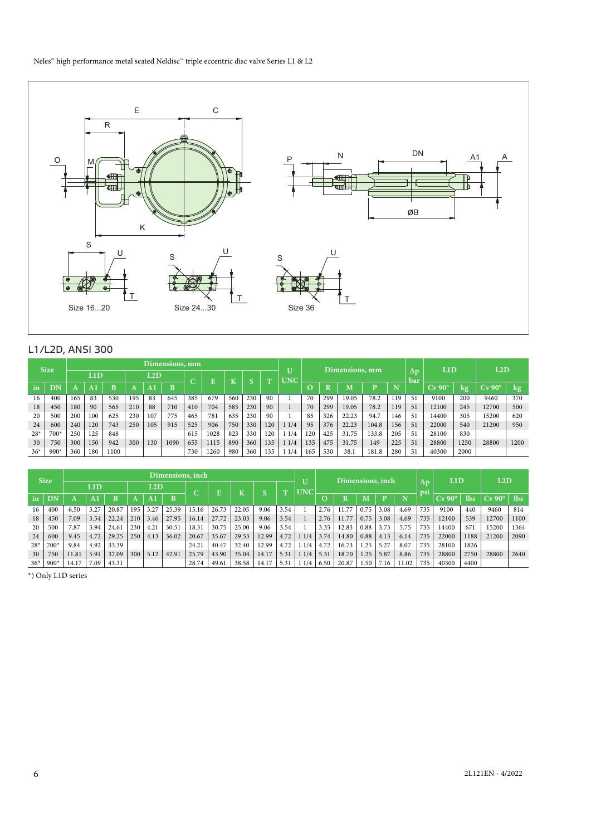

## L1/L2D, ANSI 300

|       | <b>Size</b> |     | Dimensions, mm |      |     |              |      |     |      |     |     |              |          | Dimensions, mm |     |       |       |     |           | L1D          |      | L2D                |      |
|-------|-------------|-----|----------------|------|-----|--------------|------|-----|------|-----|-----|--------------|----------|----------------|-----|-------|-------|-----|-----------|--------------|------|--------------------|------|
|       |             |     | L1D            |      |     | $_{\rm L2D}$ |      |     |      |     |     | $\mathbf{m}$ | U<br>UNC |                |     |       |       |     | Δp<br>bar |              |      |                    |      |
| in    | DN          |     | A.             |      |     |              | B    |     |      |     |     |              |          | O              |     | М     |       |     |           | $\rm Cv$ 90° | kg,  | $Cv$ 90 $^{\circ}$ | kg   |
| 16    | 400         | 165 | 83             | 530  | 195 | 83           | 645  | 385 | 679  | 560 | 230 | 90           |          | 70             | 299 | 19.05 | 78.2  | 119 | 5.        | 9100         | 200  | 9460               | 370  |
| 18    | 450         | 180 | 90             | 565  | 210 | 88           | 710  | 410 | 704  | 585 | 230 | 90           |          | 70             | 299 | 19.05 | 78.2  | 119 | 51        | 12100        | 245  | 12700              | 500  |
| 20    | 500         | 200 | 100            | 625  | 230 | 107          | 775  | 465 | 781  | 635 | 230 | 90           |          | 85             | 326 | 22.23 | 94.7  | 146 | 5.        | 14400        | 305  | 15200              | 620  |
| 24    | 600         | 240 | 120            | 743  | 250 | 105          | 915  | 525 | 906  | 750 | 330 | 120          | 1/4      | 95             | 376 | 22.23 | 104.8 | 156 | 51        | 22000        | 540  | 21200              | 950  |
| $28*$ | 700*        | 250 | 125            | 848  |     |              |      | 615 | 1028 | 823 | 330 | 120          | 1/4      | 120            | 425 | 31.75 | 133.8 | 205 | 5!        | 28100        | 830  |                    |      |
| 30    | 750         | 300 | 150            | 942  | 300 | 130          | 1090 | 655 | 1115 | 890 | 360 | 135          | 1/4      | 135            | 475 | 31.75 | 149   | 225 | 51        | 28800        | 1250 | 28800              | 1200 |
| $36*$ | $900*$      | 360 | 180            | 1100 |     |              |      | 730 | 1260 | 980 | 360 | 135          | 1/4      | 165            | 530 | 38.   | 181.8 | 280 | 5         | 40300        | 2000 |                    |      |

|       | <b>Size</b> |       | Dimensions, inch |       |     |      |       |            |       |       |       |                 |            |      | Dimensions, inch |      |      |       |           | L1D          |      | L2D                |            |
|-------|-------------|-------|------------------|-------|-----|------|-------|------------|-------|-------|-------|-----------------|------------|------|------------------|------|------|-------|-----------|--------------|------|--------------------|------------|
|       |             |       | L1D              |       |     | L2D  |       | $\sqrt{2}$ | Ē     |       |       | $^{\mathrm{T}}$ | <b>UNC</b> |      |                  |      |      |       | Δp<br>psi |              |      |                    |            |
| in    | ĐΝ          |       |                  | B     |     | A    | B     |            |       | N     |       |                 |            | O    |                  | M    |      | N     |           | $\rm Cv$ 90° | lbs  | $Cv$ 90 $^{\circ}$ | <b>Ibs</b> |
| 16    | 400         | 6.50  | 3.27             | 20.87 | 195 | 3.27 | 25.39 | 15.16      | 26.73 | 22.05 | 9.06  | 3.54            |            | 2.76 | $\overline{a}$   | 0.75 | 3.08 | 4.69  | 735       | 9100         | 440  | 9460               | 814        |
| 18    | 450         | 7.09  | 3.54             | 22.24 | 210 | 3.46 | 27.95 | 16.14      | 27.72 | 23.03 | 9.06  | 3.54            |            | 2.76 |                  | 0.75 | 3.08 | 4.69  | 735       | 2100         | 539  | 12700              | 1100       |
| 20    | 500         | 7.87  | 3.94             | 24.61 | 230 | 4.21 | 30.51 | 18.31      | 30.75 | 25.00 | 9.06  | 3.54            |            | 3.35 | 12.83            | 0.88 | 3.73 | 5.75  | 735       | 14400        | 671  | 15200              | 1364       |
| 24    | 600         | 9.45  | 4.72             | 29.25 | 250 | 4.13 | 36.02 | 20.67      | 35.67 | 29.53 | 12.99 | 4.72            | 1/4        | 3.74 | 14.80            | 0.88 | 4.13 | 6.14  | 735       | 22000        | 1188 | 21200              | 2090       |
| $28*$ | $700*$      | 9.84  | 4.92             | 33.39 |     |      |       | 24.21      | 40.47 | 32.40 | 12.99 | 4.72            | 1/4        | 4.72 | 16.73            | 1.25 | 5.27 | 8.07  | 735       | 28100        | 1826 |                    |            |
| 30    | 750         | 11.81 | 5.91             | 37.09 | 300 | 5.12 | 42.91 | 25.79      | 43.90 | 35.04 | 14.17 | 5.3             | 1/4        | 5.31 | 18.70            | 1.25 | 5.87 | 8.86  | 735       | 28800        | 2750 | 28800              | 2640       |
| $36*$ | $900*$      | 14.17 | 7.09             | 43.31 |     |      |       | 28.74      | 49.61 | 38.58 | 14.17 | 5.3             | 1/4        | 6.50 | 20.87            | 1.50 | '.16 | 11.02 | 735       | 40300        | 4400 |                    |            |

\*) Only L1D series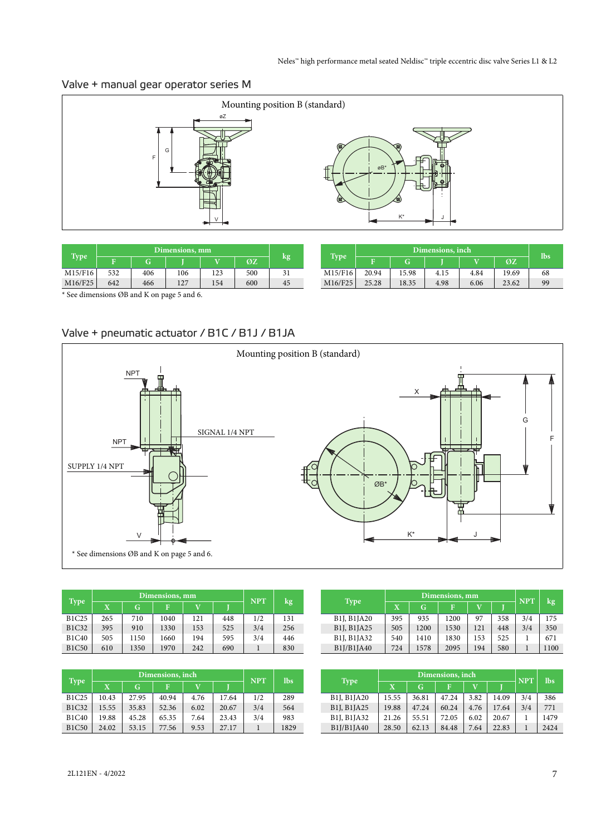# Valve + manual gear operator series M



| <b>Type</b>                                |     |     | Dimensions, mm |     |     |    |         |       | Dimensions, inch |      |      |       |     |  |  |  |
|--------------------------------------------|-----|-----|----------------|-----|-----|----|---------|-------|------------------|------|------|-------|-----|--|--|--|
|                                            |     | G)  |                |     | ØZ  | kg | Type    |       |                  |      | W.   | OZ    | lbs |  |  |  |
| M15/F16                                    | 532 | 406 | 106            | 123 | 500 | 31 | M15/F16 | 20.94 | 15.98            | 4.15 | 4.84 | 19.69 | 68  |  |  |  |
| M16/F25                                    | 642 | 466 | 127            | 154 | 600 | 45 | M16/F25 | 25.28 | 18.35            | 4.98 | 6.06 | 23.62 | 99  |  |  |  |
| * See dimensions ØB and K on page 5 and 6. |     |     |                |     |     |    |         |       |                  |      |      |       |     |  |  |  |

Valve + pneumatic actuator / B1C / B1J / B1JA



|              |     | Dimensions, mm | <b>NPT</b> |                       |     |     |        |
|--------------|-----|----------------|------------|-----------------------|-----|-----|--------|
| <b>Type</b>  | X.  | G              | F          | $\overline{\text{V}}$ |     |     | $\log$ |
| <b>B1C25</b> | 265 | 710            | 1040       | 121                   | 448 | 1/2 | 131    |
| <b>B1C32</b> | 395 | 910            | 1330       | 153                   | 525 | 3/4 | 256    |
| <b>B1C40</b> | 505 | 1150           | 1660       | 194                   | 595 | 3/4 | 446    |
| <b>B1C50</b> | 610 | 1350           | 1970       | 242                   | 690 |     | 830    |

|              |              | Dimensions, inch | <b>NPT</b> | <b>lbs</b> |       |     |      |
|--------------|--------------|------------------|------------|------------|-------|-----|------|
| <b>Type</b>  | $\mathbf{X}$ | G                | F          | V          |       |     |      |
| <b>B1C25</b> | 10.43        | 27.95            | 40.94      | 4.76       | 17.64 | 1/2 | 289  |
| <b>B1C32</b> | 15.55        | 35.83            | 52.36      | 6.02       | 20.67 | 3/4 | 564  |
| <b>B1C40</b> | 19.88        | 45.28            | 65.35      | 7.64       | 23.43 | 3/4 | 983  |
| <b>B1C50</b> | 24.02        | 53.15            | 77.56      | 9.53       | 27.17 |     | 1829 |

|                                                   |             | Dimensions, mm | <b>NPT</b> |              |     |     |      |
|---------------------------------------------------|-------------|----------------|------------|--------------|-----|-----|------|
| <b>Type</b>                                       | $\mathbf x$ | G              | F          | $\mathbf{v}$ |     |     | kg   |
| B <sub>1</sub> J, B <sub>1</sub> J <sub>A20</sub> | 395         | 935            | 1200       | 97           | 358 | 3/4 | 175  |
| B <sub>1</sub> J, B <sub>1</sub> JA <sub>25</sub> | 505         | 1200           | 1530       | 121          | 448 | 3/4 | 350  |
| B <sub>1</sub> J, B <sub>1</sub> JA <sub>32</sub> | 540         | 1410           | 1830       | 153          | 525 |     | 671  |
| B1J/B1JA40                                        | 724         | 1578           | 2095       | 194          | 580 |     | 1100 |

|                                                   |              | <b>NPT</b> | <b>lbs</b> |      |       |     |        |
|---------------------------------------------------|--------------|------------|------------|------|-------|-----|--------|
| <b>Type</b>                                       | $\mathbf{X}$ | G          | F          | v    |       |     |        |
| B <sub>1</sub> J, B <sub>1</sub> JA <sub>20</sub> | 15.55        | 36.81      | 47.24      | 3.82 | 14.09 | 3/4 | 386    |
| B1J, B1JA25                                       | 19.88        | 47.24      | 60.24      | 4.76 | 17.64 | 3/4 | 771    |
| B <sub>1</sub> J, B <sub>1</sub> JA <sub>32</sub> | 21.26        | 55.51      | 72.05      | 6.02 | 20.67 |     | 1479   |
| B1J/B1JA40                                        | 28.50        | 62.13      | 84.48      | 7.64 | 22.83 |     | 2.42.4 |